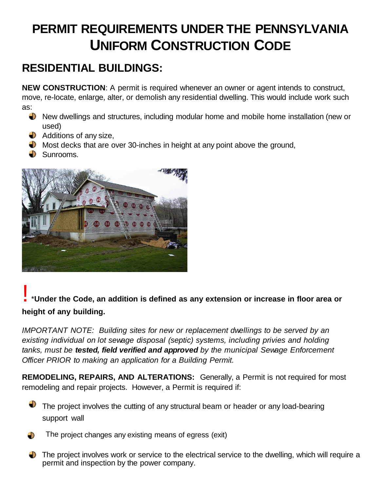## **PERMIT REQUIREMENTS UNDER THE PENNSYLVANIA UNIFORM CONSTRUCTION CODE**

## **RESIDENTIAL BUILDINGS:**

**NEW CONSTRUCTION**: A permit is required whenever an owner or agent intends to construct, move, re-locate, enlarge, alter, or demolish any residential dwelling. This would include work such as:

- New dwellings and structures, including modular home and mobile home installation (new or used)
- $\bigcirc$  Additions of any size,
- $\Box$  Most decks that are over 30-inches in height at any point above the ground,
- $\bullet$  Sunrooms.



## ! \***Under the Code, an addition is defined as any extension or increase in floor area or height of any building.**

*IMPORTANT NOTE: Building sites for new or replacement dwellings to be served by an existing individual on lot sewage disposal (septic) systems, including privies and holding tanks, must be tested, field verified and approved by the municipal Sewage Enforcement Officer PRIOR to making an application for a Building Permit.*

**REMODELING, REPAIRS, AND ALTERATIONS:** Generally, a Permit is not required for most remodeling and repair projects. However, a Permit is required if:



- The project changes any existing means of egress (exit)
- The project involves work or service to the electrical service to the dwelling, which will require a permit and inspection by the power company.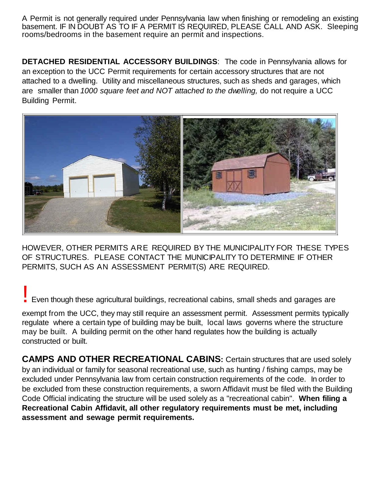A Permit is not generally required under Pennsylvania law when finishing or remodeling an existing basement. IF IN DOUBT AS TO IF A PERMIT IS REQUIRED, PLEASE CALL AND ASK. Sleeping rooms/bedrooms in the basement require an permit and inspections.

**DETACHED RESIDENTIAL ACCESSORY BUILDINGS**: The code in Pennsylvania allows for an exception to the UCC Permit requirements for certain accessory structures that are not attached to a dwelling. Utility and miscellaneous structures, such as sheds and garages, which are smaller than *1000 square feet and NOT attached to the dwelling,* do not require a UCC Building Permit.



HOWEVER, OTHER PERMITS ARE REQUIRED BY THE MUNICIPALITY FOR THESE TYPES OF STRUCTURES. PLEASE CONTACT THE MUNICIPALITY TO DETERMINE IF OTHER PERMITS, SUCH AS AN ASSESSMENT PERMIT(S) ARE REQUIRED.

## **Exen though these agricultural buildings, recreational cabins, small sheds and garages are**

exempt from the UCC, they may still require an assessment permit. Assessment permits typically regulate where a certain type of building may be built, local laws governs where the structure may be built. A building permit on the other hand regulates how the building is actually constructed or built.

**CAMPS AND OTHER RECREATIONAL CABINS:** Certain structures that are used solely by an individual or family for seasonal recreational use, such as hunting / fishing camps, may be excluded under Pennsylvania law from certain construction requirements of the code. In order to be excluded from these construction requirements, a sworn Affidavit must be filed with the Building Code Official indicating the structure will be used solely as a "recreational cabin". **When filing a Recreational Cabin Affidavit, all other regulatory requirements must be met, including assessment and sewage permit requirements.**